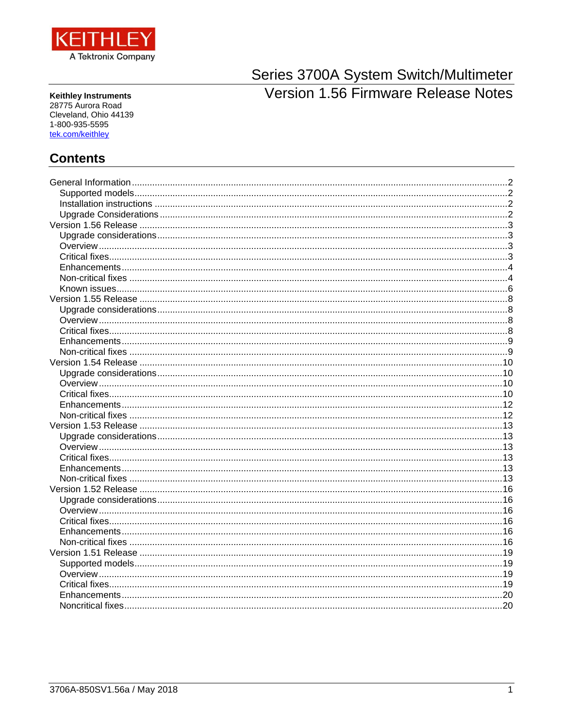

Series 3700A System Switch/Multimeter **Version 1.56 Firmware Release Notes** 

**Keithley Instruments** 28775 Aurora Road Cleveland, Ohio 44139 1-800-935-5595 tek.com/keithley

# **Contents**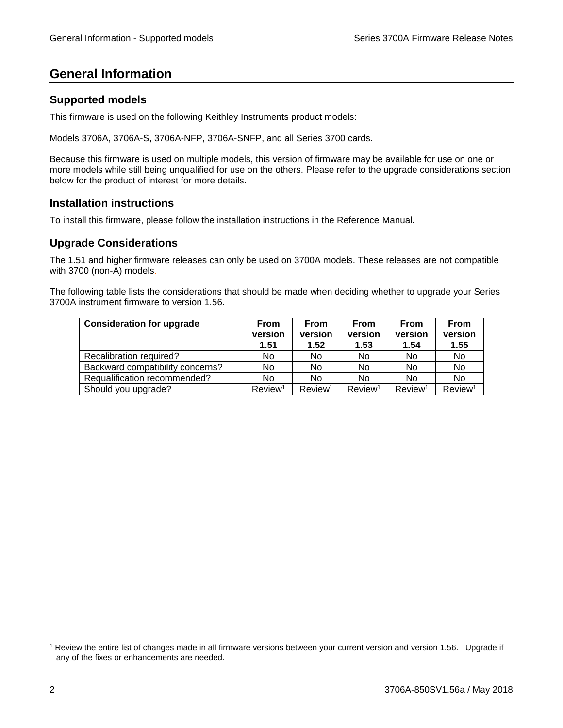# <span id="page-1-0"></span>**General Information**

## <span id="page-1-1"></span>**Supported models**

This firmware is used on the following Keithley Instruments product models:

Models 3706A, 3706A-S, 3706A-NFP, 3706A-SNFP, and all Series 3700 cards.

Because this firmware is used on multiple models, this version of firmware may be available for use on one or more models while still being unqualified for use on the others. Please refer to the upgrade considerations section below for the product of interest for more details.

## <span id="page-1-2"></span>**Installation instructions**

<span id="page-1-3"></span>To install this firmware, please follow the installation instructions in the Reference Manual.

## **Upgrade Considerations**

The 1.51 and higher firmware releases can only be used on 3700A models. These releases are not compatible with 3700 (non-A) models.

The following table lists the considerations that should be made when deciding whether to upgrade your Series 3700A instrument firmware to version 1.56.

| <b>Consideration for upgrade</b> | <b>From</b><br>version<br>1.51 | <b>From</b><br>version<br>1.52 | <b>From</b><br>version<br>1.53 | <b>From</b><br>version<br>1.54 | <b>From</b><br>version<br>1.55 |
|----------------------------------|--------------------------------|--------------------------------|--------------------------------|--------------------------------|--------------------------------|
| Recalibration required?          | No                             | No                             | No                             | No.                            | No                             |
| Backward compatibility concerns? | No                             | No                             | <b>No</b>                      | No                             | No                             |
| Requalification recommended?     | No                             | No                             | No                             | No                             | No                             |
| Should you upgrade?              | Review <sup>1</sup>            | Review <sup>1</sup>            | Review <sup>1</sup>            | Review <sup>1</sup>            | Review <sup>1</sup>            |

l

<sup>1</sup> Review the entire list of changes made in all firmware versions between your current version and version 1.56. Upgrade if any of the fixes or enhancements are needed.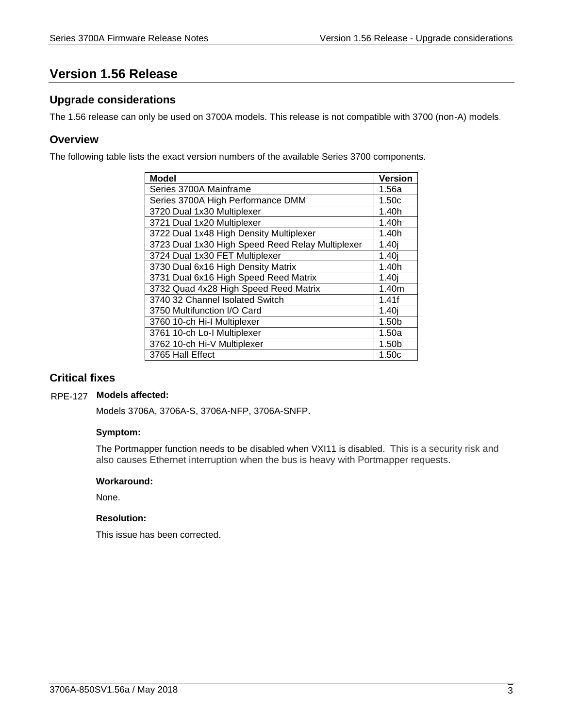# <span id="page-2-0"></span>**Version 1.56 Release**

## <span id="page-2-1"></span>**Upgrade considerations**

<span id="page-2-2"></span>The 1.56 release can only be used on 3700A models. This release is not compatible with 3700 (non-A) models.

## **Overview**

The following table lists the exact version numbers of the available Series 3700 components.

| <b>Model</b>                                     | <b>Version</b>    |
|--------------------------------------------------|-------------------|
| Series 3700A Mainframe                           | 1.56a             |
| Series 3700A High Performance DMM                | 1.50c             |
| 3720 Dual 1x30 Multiplexer                       | 1.40h             |
| 3721 Dual 1x20 Multiplexer                       | 1.40h             |
| 3722 Dual 1x48 High Density Multiplexer          | 1.40h             |
| 3723 Dual 1x30 High Speed Reed Relay Multiplexer | 1.40 <sub>i</sub> |
| 3724 Dual 1x30 FET Multiplexer                   | 1.40 <sub>i</sub> |
| 3730 Dual 6x16 High Density Matrix               | 1.40h             |
| 3731 Dual 6x16 High Speed Reed Matrix            | 1.40i             |
| 3732 Quad 4x28 High Speed Reed Matrix            | 1.40m             |
| 3740 32 Channel Isolated Switch                  | 1.41f             |
| 3750 Multifunction I/O Card                      | 1.40j             |
| 3760 10-ch Hi-I Multiplexer                      | 1.50 <sub>b</sub> |
| 3761 10-ch Lo-I Multiplexer                      | 1.50a             |
| 3762 10-ch Hi-V Multiplexer                      | 1.50 <sub>b</sub> |
| 3765 Hall Effect                                 | 1.50c             |

## <span id="page-2-3"></span>**Critical fixes**

## **Models affected:** RPE-127

Models 3706A, 3706A-S, 3706A-NFP, 3706A-SNFP.

## **Symptom:**

The Portmapper function needs to be disabled when VXI11 is disabled. This is a security risk and also causes Ethernet interruption when the bus is heavy with Portmapper requests.

## **Workaround:**

None.

## **Resolution:**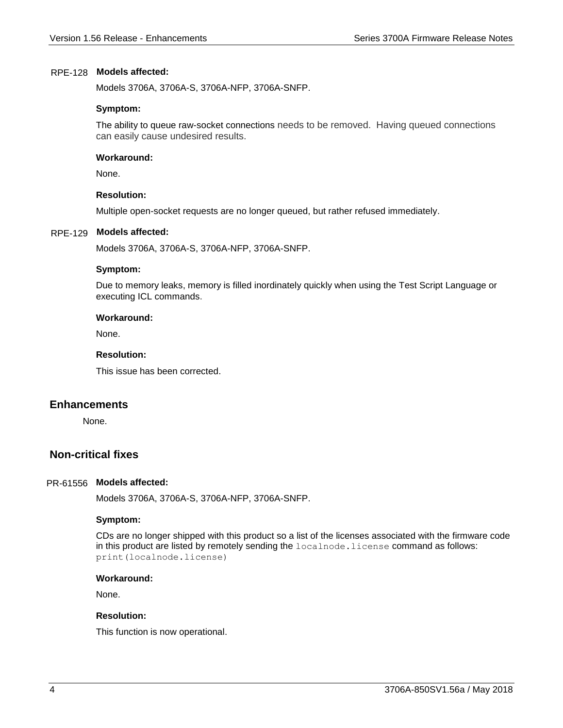## **Models affected:** RPE-128

Models 3706A, 3706A-S, 3706A-NFP, 3706A-SNFP.

## **Symptom:**

The ability to queue raw-socket connections needs to be removed. Having queued connections can easily cause undesired results.

## **Workaround:**

None.

## **Resolution:**

Multiple open-socket requests are no longer queued, but rather refused immediately.

## **Models affected:** RPE-129

Models 3706A, 3706A-S, 3706A-NFP, 3706A-SNFP.

## **Symptom:**

Due to memory leaks, memory is filled inordinately quickly when using the Test Script Language or executing ICL commands.

## **Workaround:**

None.

## **Resolution:**

This issue has been corrected.

## <span id="page-3-0"></span>**Enhancements**

None.

## <span id="page-3-1"></span>**Non-critical fixes**

## PR-61556 Models affected:

Models 3706A, 3706A-S, 3706A-NFP, 3706A-SNFP.

## **Symptom:**

CDs are no longer shipped with this product so a list of the licenses associated with the firmware code in this product are listed by remotely sending the localnode.license command as follows: print(localnode.license)

## **Workaround:**

None.

## **Resolution:**

This function is now operational.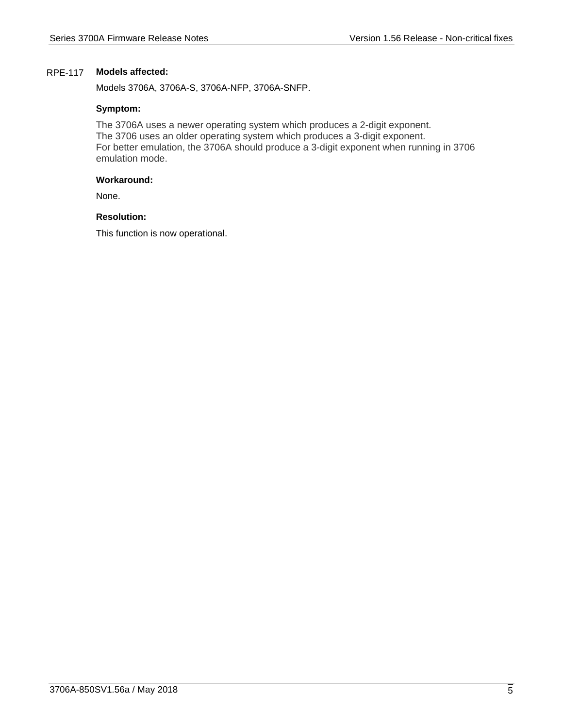## **Models affected:** RPE-117

Models 3706A, 3706A-S, 3706A-NFP, 3706A-SNFP.

## **Symptom:**

The 3706A uses a newer operating system which produces a 2-digit exponent. The 3706 uses an older operating system which produces a 3-digit exponent. For better emulation, the 3706A should produce a 3-digit exponent when running in 3706 emulation mode.

## **Workaround:**

None.

## **Resolution:**

This function is now operational.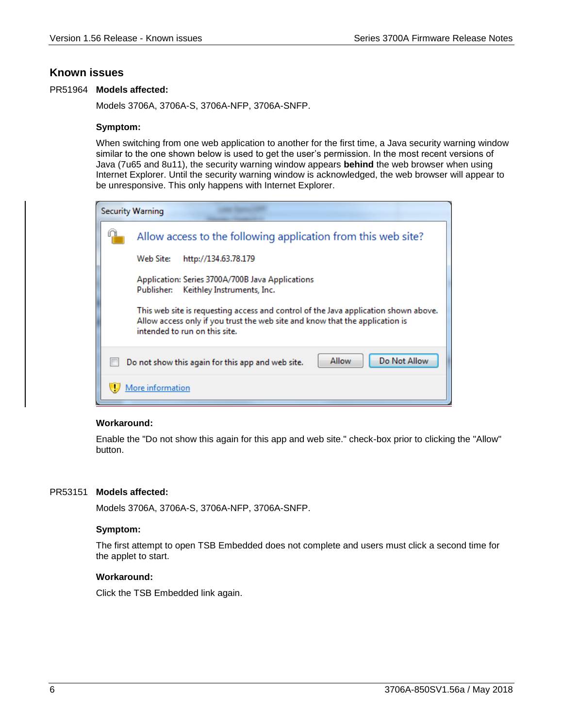## <span id="page-5-0"></span>**Known issues**

## PR51964 Models affected:

Models 3706A, 3706A-S, 3706A-NFP, 3706A-SNFP.

## **Symptom:**

When switching from one web application to another for the first time, a Java security warning window similar to the one shown below is used to get the user's permission. In the most recent versions of Java (7u65 and 8u11), the security warning window appears **behind** the web browser when using Internet Explorer. Until the security warning window is acknowledged, the web browser will appear to be unresponsive. This only happens with Internet Explorer.

| <b>Security Warning</b>                                                                                                                                                                              |                                                                                              |  |
|------------------------------------------------------------------------------------------------------------------------------------------------------------------------------------------------------|----------------------------------------------------------------------------------------------|--|
|                                                                                                                                                                                                      | Allow access to the following application from this web site?                                |  |
|                                                                                                                                                                                                      | Web Site:<br>http://134.63.78.179                                                            |  |
|                                                                                                                                                                                                      | Application: Series 3700A/700B Java Applications<br>Keithley Instruments, Inc.<br>Publisher: |  |
| This web site is requesting access and control of the Java application shown above.<br>Allow access only if you trust the web site and know that the application is<br>intended to run on this site. |                                                                                              |  |
|                                                                                                                                                                                                      | Do Not Allow<br>Allow<br>Do not show this again for this app and web site.                   |  |
|                                                                                                                                                                                                      | More information                                                                             |  |

## **Workaround:**

Enable the "Do not show this again for this app and web site." check-box prior to clicking the "Allow" button.

## PR53151 Models affected:

Models 3706A, 3706A-S, 3706A-NFP, 3706A-SNFP.

## **Symptom:**

The first attempt to open TSB Embedded does not complete and users must click a second time for the applet to start.

## **Workaround:**

Click the TSB Embedded link again.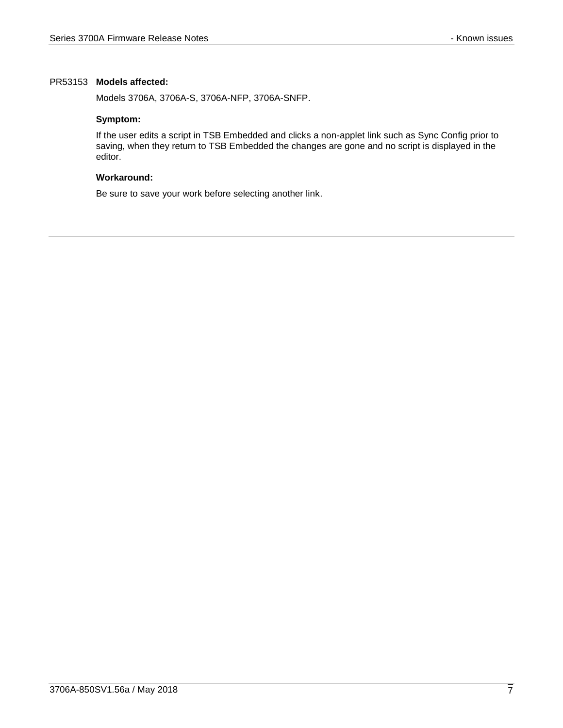## PR53153 Models affected:

Models 3706A, 3706A-S, 3706A-NFP, 3706A-SNFP.

## **Symptom:**

If the user edits a script in TSB Embedded and clicks a non-applet link such as Sync Config prior to saving, when they return to TSB Embedded the changes are gone and no script is displayed in the editor.

## **Workaround:**

Be sure to save your work before selecting another link.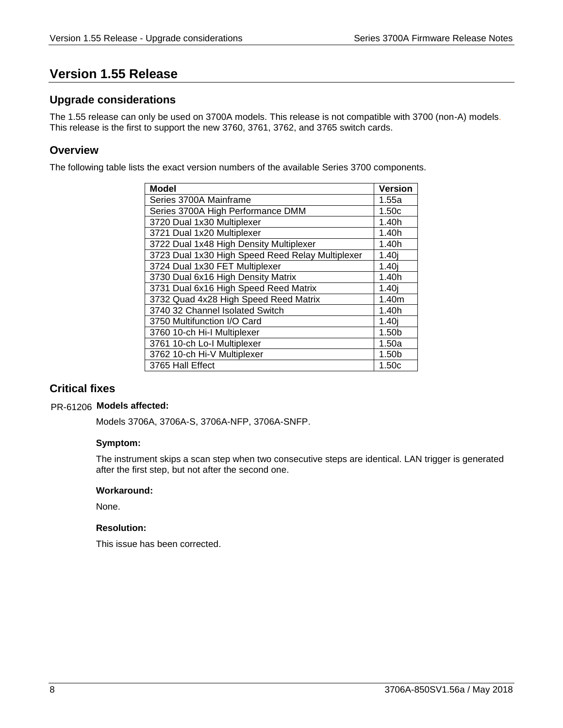# <span id="page-7-0"></span>**Version 1.55 Release**

## <span id="page-7-1"></span>**Upgrade considerations**

The 1.55 release can only be used on 3700A models. This release is not compatible with 3700 (non-A) models. This release is the first to support the new 3760, 3761, 3762, and 3765 switch cards.

## <span id="page-7-2"></span>**Overview**

The following table lists the exact version numbers of the available Series 3700 components.

| <b>Model</b>                                     | <b>Version</b>    |
|--------------------------------------------------|-------------------|
| Series 3700A Mainframe                           | 1.55a             |
| Series 3700A High Performance DMM                | 1.50c             |
| 3720 Dual 1x30 Multiplexer                       | 1.40h             |
| 3721 Dual 1x20 Multiplexer                       | 1.40h             |
| 3722 Dual 1x48 High Density Multiplexer          | 1.40h             |
| 3723 Dual 1x30 High Speed Reed Relay Multiplexer | 1.40i             |
| 3724 Dual 1x30 FET Multiplexer                   | 1.40i             |
| 3730 Dual 6x16 High Density Matrix               | 1.40h             |
| 3731 Dual 6x16 High Speed Reed Matrix            | 1.40i             |
| 3732 Quad 4x28 High Speed Reed Matrix            | 1.40m             |
| 3740 32 Channel Isolated Switch                  | 1.40h             |
| 3750 Multifunction I/O Card                      | 1.40 <sub>i</sub> |
| 3760 10-ch Hi-I Multiplexer                      | 1.50 <sub>b</sub> |
| 3761 10-ch Lo-I Multiplexer                      | 1.50a             |
| 3762 10-ch Hi-V Multiplexer                      | 1.50b             |
| 3765 Hall Effect                                 | 1.50c             |

# <span id="page-7-3"></span>**Critical fixes**

## **Models affected:** PR-61206

Models 3706A, 3706A-S, 3706A-NFP, 3706A-SNFP.

## **Symptom:**

The instrument skips a scan step when two consecutive steps are identical. LAN trigger is generated after the first step, but not after the second one.

## **Workaround:**

None.

## **Resolution:**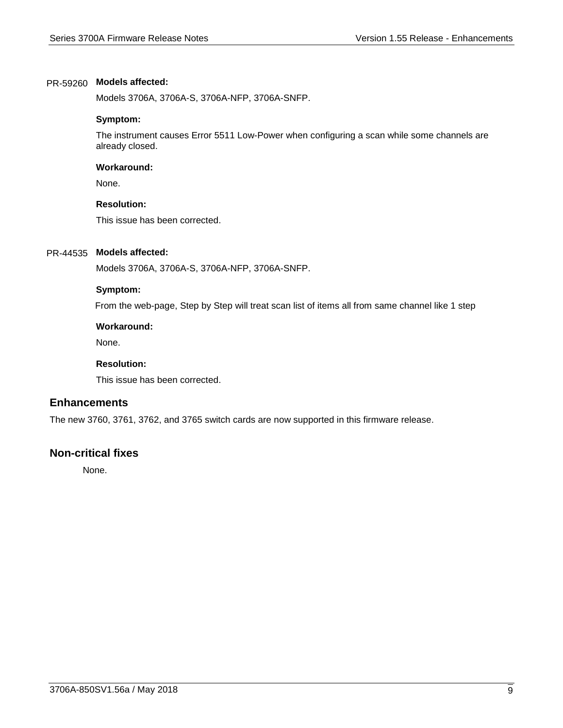## **Models affected:** PR-59260

Models 3706A, 3706A-S, 3706A-NFP, 3706A-SNFP.

## **Symptom:**

The instrument causes Error 5511 Low-Power when configuring a scan while some channels are already closed.

## **Workaround:**

None.

## **Resolution:**

This issue has been corrected.

## **Models affected:** PR-44535

Models 3706A, 3706A-S, 3706A-NFP, 3706A-SNFP.

## **Symptom:**

From the web-page, Step by Step will treat scan list of items all from same channel like 1 step

## **Workaround:**

None.

## **Resolution:**

This issue has been corrected.

## <span id="page-8-0"></span>**Enhancements**

The new 3760, 3761, 3762, and 3765 switch cards are now supported in this firmware release.

## <span id="page-8-1"></span>**Non-critical fixes**

None.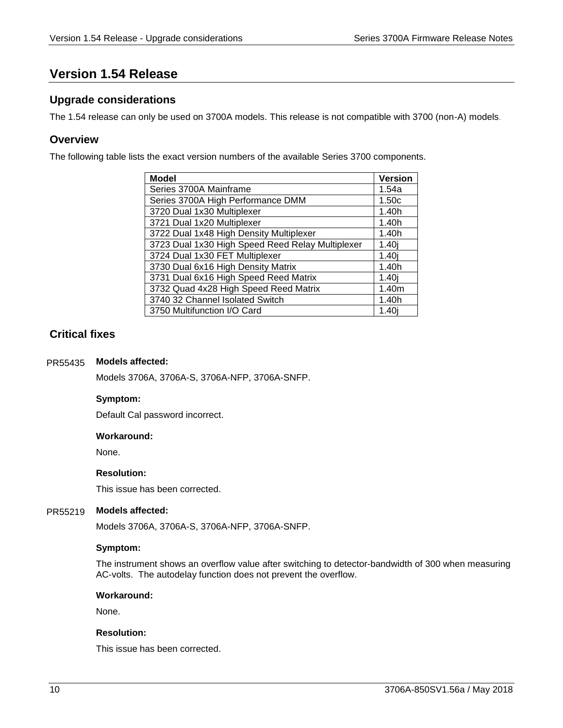# <span id="page-9-0"></span>**Version 1.54 Release**

## <span id="page-9-1"></span>**Upgrade considerations**

<span id="page-9-2"></span>The 1.54 release can only be used on 3700A models. This release is not compatible with 3700 (non-A) models.

## **Overview**

The following table lists the exact version numbers of the available Series 3700 components.

| <b>Model</b>                                     | <b>Version</b>    |
|--------------------------------------------------|-------------------|
| Series 3700A Mainframe                           | 1.54a             |
| Series 3700A High Performance DMM                | 1.50c             |
| 3720 Dual 1x30 Multiplexer                       | 1.40h             |
| 3721 Dual 1x20 Multiplexer                       | 1.40h             |
| 3722 Dual 1x48 High Density Multiplexer          | 1.40h             |
| 3723 Dual 1x30 High Speed Reed Relay Multiplexer | 1.40 <sub>i</sub> |
| 3724 Dual 1x30 FET Multiplexer                   | 1.40 <sub>i</sub> |
| 3730 Dual 6x16 High Density Matrix               | 1.40h             |
| 3731 Dual 6x16 High Speed Reed Matrix            | 1.40 <sub>i</sub> |
| 3732 Quad 4x28 High Speed Reed Matrix            | 1.40m             |
| 3740 32 Channel Isolated Switch                  | 1.40h             |
| 3750 Multifunction I/O Card                      | 1.40i             |

## <span id="page-9-3"></span>**Critical fixes**

#### **Models affected:** PR55435

Models 3706A, 3706A-S, 3706A-NFP, 3706A-SNFP.

## **Symptom:**

Default Cal password incorrect.

## **Workaround:**

None.

## **Resolution:**

This issue has been corrected.

#### **Models affected:** PR55219

Models 3706A, 3706A-S, 3706A-NFP, 3706A-SNFP.

## **Symptom:**

The instrument shows an overflow value after switching to detector-bandwidth of 300 when measuring AC-volts. The autodelay function does not prevent the overflow.

## **Workaround:**

None.

## **Resolution:**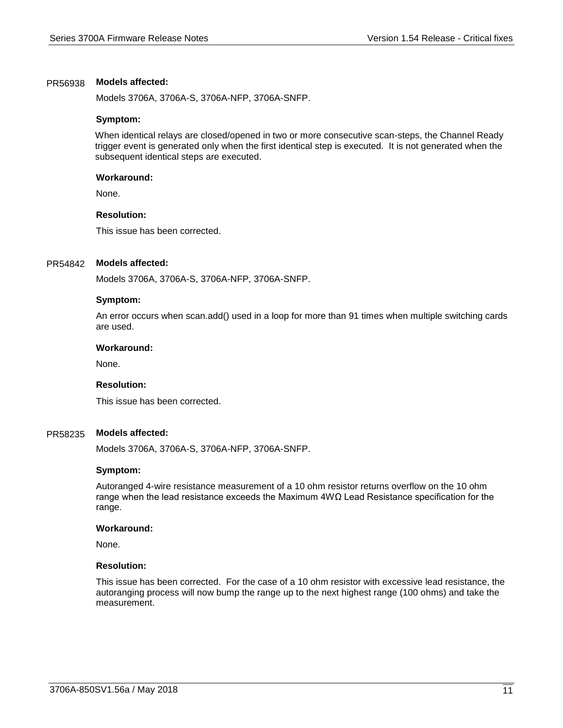#### **Models affected:** PR56938

Models 3706A, 3706A-S, 3706A-NFP, 3706A-SNFP.

#### **Symptom:**

When identical relays are closed/opened in two or more consecutive scan-steps, the Channel Ready trigger event is generated only when the first identical step is executed. It is not generated when the subsequent identical steps are executed.

#### **Workaround:**

None.

## **Resolution:**

This issue has been corrected.

#### **Models affected:** PR54842

Models 3706A, 3706A-S, 3706A-NFP, 3706A-SNFP.

#### **Symptom:**

An error occurs when scan.add() used in a loop for more than 91 times when multiple switching cards are used.

#### **Workaround:**

None.

## **Resolution:**

This issue has been corrected.

#### **Models affected:** PR58235

Models 3706A, 3706A-S, 3706A-NFP, 3706A-SNFP.

#### **Symptom:**

Autoranged 4-wire resistance measurement of a 10 ohm resistor returns overflow on the 10 ohm range when the lead resistance exceeds the Maximum 4WΩ Lead Resistance specification for the range.

## **Workaround:**

None.

#### **Resolution:**

This issue has been corrected. For the case of a 10 ohm resistor with excessive lead resistance, the autoranging process will now bump the range up to the next highest range (100 ohms) and take the measurement.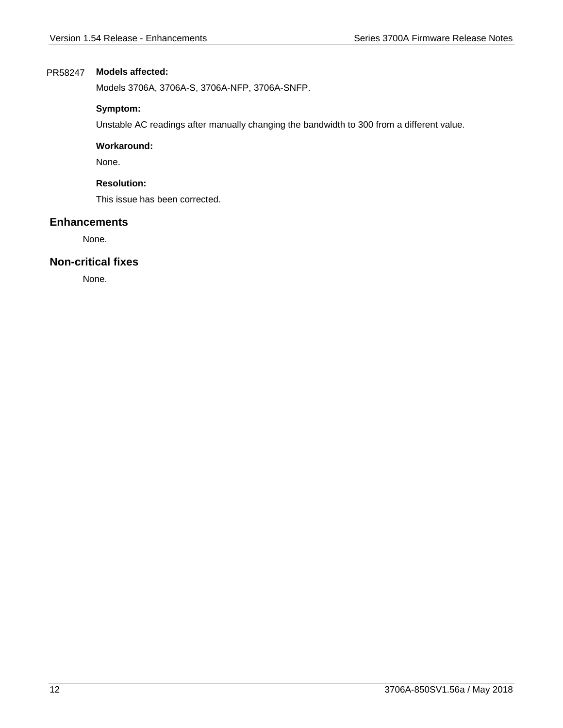## **Models affected:** PR58247

Models 3706A, 3706A-S, 3706A-NFP, 3706A-SNFP.

## **Symptom:**

Unstable AC readings after manually changing the bandwidth to 300 from a different value.

## **Workaround:**

None.

## **Resolution:**

This issue has been corrected.

## <span id="page-11-0"></span>**Enhancements**

None.

## <span id="page-11-1"></span>**Non-critical fixes**

None.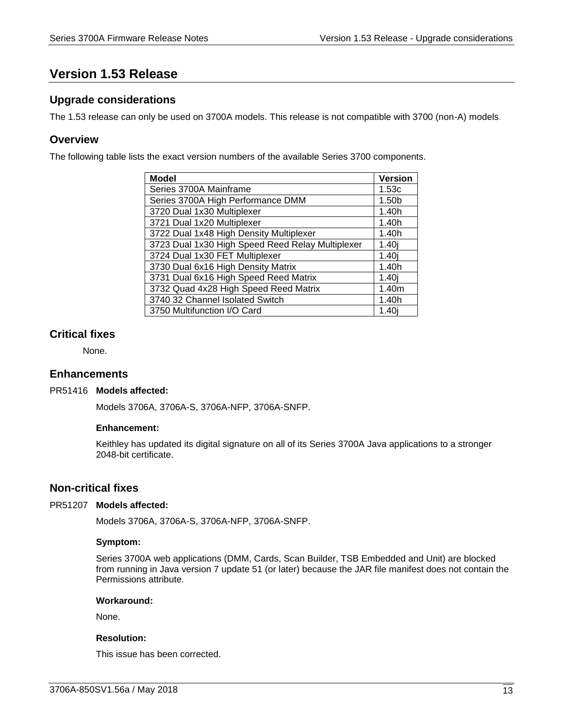# <span id="page-12-0"></span>**Version 1.53 Release**

## <span id="page-12-1"></span>**Upgrade considerations**

<span id="page-12-2"></span>The 1.53 release can only be used on 3700A models. This release is not compatible with 3700 (non-A) models.

## **Overview**

The following table lists the exact version numbers of the available Series 3700 components.

| <b>Model</b>                                     | <b>Version</b>    |
|--------------------------------------------------|-------------------|
| Series 3700A Mainframe                           | 1.53c             |
| Series 3700A High Performance DMM                | 1.50b             |
| 3720 Dual 1x30 Multiplexer                       | 1.40h             |
| 3721 Dual 1x20 Multiplexer                       | 1.40h             |
| 3722 Dual 1x48 High Density Multiplexer          | 1.40h             |
| 3723 Dual 1x30 High Speed Reed Relay Multiplexer | 1.40 <sub>i</sub> |
| 3724 Dual 1x30 FET Multiplexer                   | 1.40 <sub>i</sub> |
| 3730 Dual 6x16 High Density Matrix               | 1.40h             |
| 3731 Dual 6x16 High Speed Reed Matrix            | 1.40 <sub>i</sub> |
| 3732 Quad 4x28 High Speed Reed Matrix            | 1.40m             |
| 3740 32 Channel Isolated Switch                  | 1.40h             |
| 3750 Multifunction I/O Card                      | 1.40i             |

## <span id="page-12-3"></span>**Critical fixes**

None.

## <span id="page-12-4"></span>**Enhancements**

## PR51416 Models affected:

Models 3706A, 3706A-S, 3706A-NFP, 3706A-SNFP.

## **Enhancement:**

Keithley has updated its digital signature on all of its Series 3700A Java applications to a stronger 2048-bit certificate.

## <span id="page-12-5"></span>**Non-critical fixes**

## PR51207 Models affected:

Models 3706A, 3706A-S, 3706A-NFP, 3706A-SNFP.

## **Symptom:**

Series 3700A web applications (DMM, Cards, Scan Builder, TSB Embedded and Unit) are blocked from running in Java version 7 update 51 (or later) because the JAR file manifest does not contain the Permissions attribute.

## **Workaround:**

None.

## **Resolution:**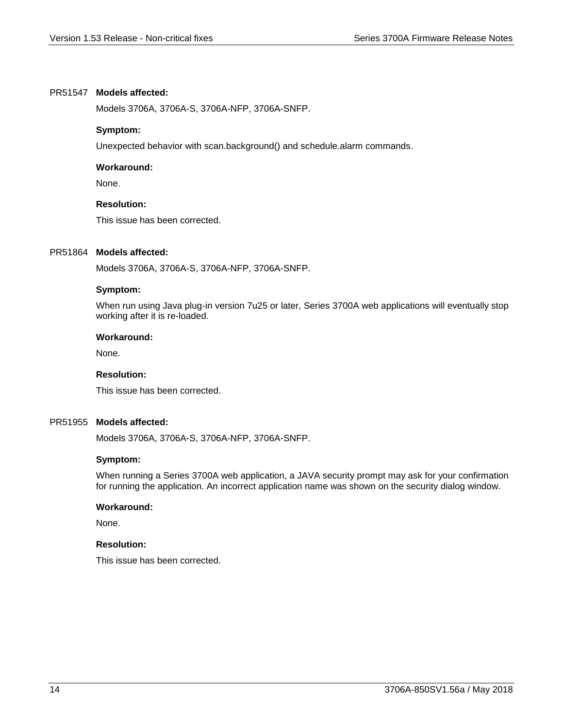## PR51547 Models affected:

Models 3706A, 3706A-S, 3706A-NFP, 3706A-SNFP.

## **Symptom:**

Unexpected behavior with scan.background() and schedule.alarm commands.

## **Workaround:**

None.

## **Resolution:**

This issue has been corrected.

## PR51864 Models affected:

Models 3706A, 3706A-S, 3706A-NFP, 3706A-SNFP.

## **Symptom:**

When run using Java plug-in version 7u25 or later, Series 3700A web applications will eventually stop working after it is re-loaded.

## **Workaround:**

None.

## **Resolution:**

This issue has been corrected.

## PR51955 Models affected:

Models 3706A, 3706A-S, 3706A-NFP, 3706A-SNFP.

## **Symptom:**

When running a Series 3700A web application, a JAVA security prompt may ask for your confirmation for running the application. An incorrect application name was shown on the security dialog window.

## **Workaround:**

None.

## **Resolution:**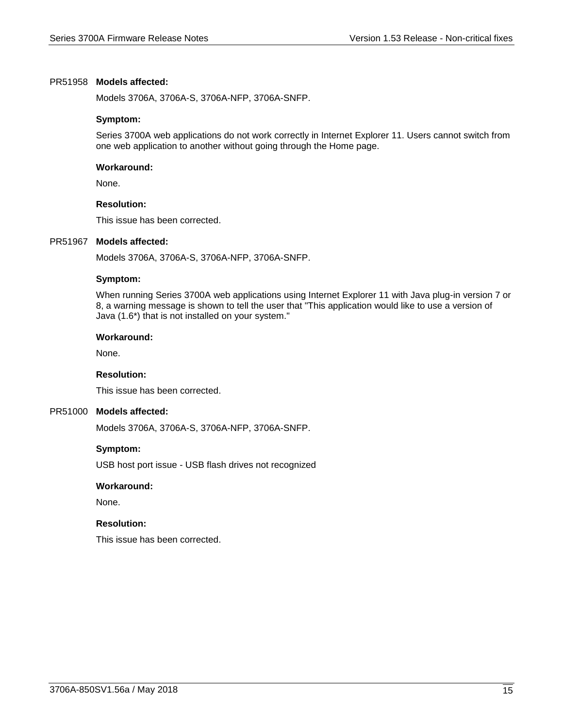## PR51958 Models affected:

Models 3706A, 3706A-S, 3706A-NFP, 3706A-SNFP.

## **Symptom:**

Series 3700A web applications do not work correctly in Internet Explorer 11. Users cannot switch from one web application to another without going through the Home page.

## **Workaround:**

None.

## **Resolution:**

This issue has been corrected.

## PR51967 Models affected:

Models 3706A, 3706A-S, 3706A-NFP, 3706A-SNFP.

## **Symptom:**

When running Series 3700A web applications using Internet Explorer 11 with Java plug-in version 7 or 8, a warning message is shown to tell the user that "This application would like to use a version of Java (1.6\*) that is not installed on your system."

#### **Workaround:**

None.

## **Resolution:**

This issue has been corrected.

## PR51000 Models affected:

Models 3706A, 3706A-S, 3706A-NFP, 3706A-SNFP.

## **Symptom:**

USB host port issue - USB flash drives not recognized

## **Workaround:**

None.

## **Resolution:**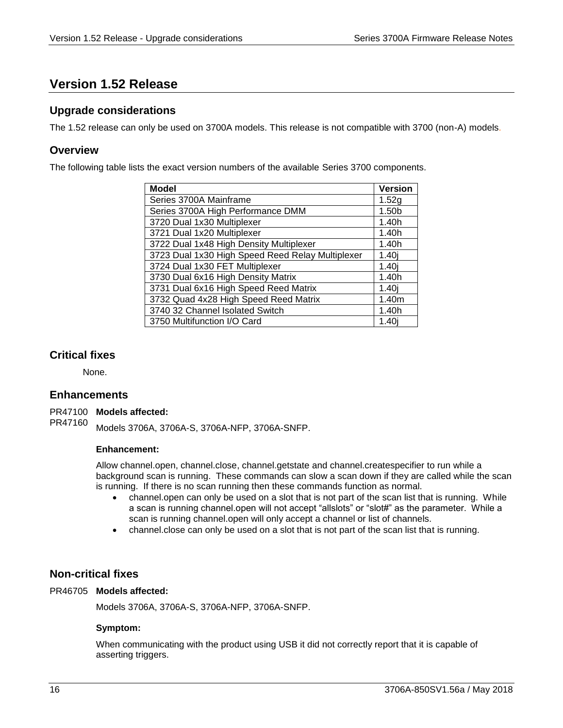# <span id="page-15-0"></span>**Version 1.52 Release**

## <span id="page-15-1"></span>**Upgrade considerations**

<span id="page-15-2"></span>The 1.52 release can only be used on 3700A models. This release is not compatible with 3700 (non-A) models.

## **Overview**

The following table lists the exact version numbers of the available Series 3700 components.

| <b>Model</b>                                     | <b>Version</b>    |
|--------------------------------------------------|-------------------|
| Series 3700A Mainframe                           | 1.52g             |
| Series 3700A High Performance DMM                | 1.50b             |
| 3720 Dual 1x30 Multiplexer                       | 1.40h             |
| 3721 Dual 1x20 Multiplexer                       | 1.40h             |
| 3722 Dual 1x48 High Density Multiplexer          | 1.40h             |
| 3723 Dual 1x30 High Speed Reed Relay Multiplexer | 1.40 <sub>i</sub> |
| 3724 Dual 1x30 FET Multiplexer                   | 1.40 <sub>i</sub> |
| 3730 Dual 6x16 High Density Matrix               | 1.40h             |
| 3731 Dual 6x16 High Speed Reed Matrix            | 1.40j             |
| 3732 Quad 4x28 High Speed Reed Matrix            | 1.40m             |
| 3740 32 Channel Isolated Switch                  | 1.40h             |
| 3750 Multifunction I/O Card                      | 1.40i             |

## <span id="page-15-3"></span>**Critical fixes**

None.

## <span id="page-15-4"></span>**Enhancements**

## PR47100 Models affected:

Models 3706A, 3706A-S, 3706A-NFP, 3706A-SNFP. PR47160

## **Enhancement:**

Allow channel.open, channel.close, channel.getstate and channel.createspecifier to run while a background scan is running. These commands can slow a scan down if they are called while the scan is running. If there is no scan running then these commands function as normal.

- channel.open can only be used on a slot that is not part of the scan list that is running. While a scan is running channel.open will not accept "allslots" or "slot#" as the parameter. While a scan is running channel.open will only accept a channel or list of channels.
- channel.close can only be used on a slot that is not part of the scan list that is running.

## <span id="page-15-5"></span>**Non-critical fixes**

## PR46705 Models affected:

Models 3706A, 3706A-S, 3706A-NFP, 3706A-SNFP.

## **Symptom:**

When communicating with the product using USB it did not correctly report that it is capable of asserting triggers.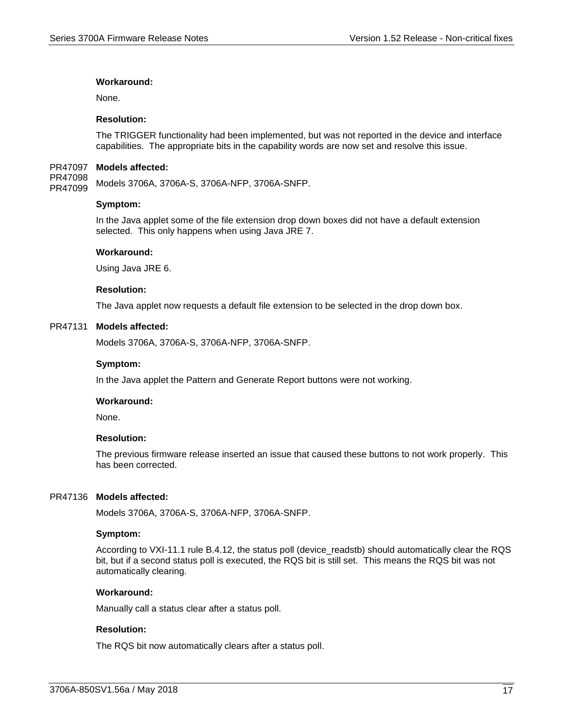## **Workaround:**

None.

## **Resolution:**

The TRIGGER functionality had been implemented, but was not reported in the device and interface capabilities. The appropriate bits in the capability words are now set and resolve this issue.

#### PR47097 Models affected:

Models 3706A, 3706A-S, 3706A-NFP, 3706A-SNFP. PR47098 PR47099

#### **Symptom:**

In the Java applet some of the file extension drop down boxes did not have a default extension selected. This only happens when using Java JRE 7.

#### **Workaround:**

Using Java JRE 6.

#### **Resolution:**

The Java applet now requests a default file extension to be selected in the drop down box.

#### PR47131 Models affected:

Models 3706A, 3706A-S, 3706A-NFP, 3706A-SNFP.

#### **Symptom:**

In the Java applet the Pattern and Generate Report buttons were not working.

#### **Workaround:**

None.

#### **Resolution:**

The previous firmware release inserted an issue that caused these buttons to not work properly. This has been corrected.

#### PR47136 Models affected:

Models 3706A, 3706A-S, 3706A-NFP, 3706A-SNFP.

#### **Symptom:**

According to VXI-11.1 rule B.4.12, the status poll (device\_readstb) should automatically clear the RQS bit, but if a second status poll is executed, the RQS bit is still set. This means the RQS bit was not automatically clearing.

## **Workaround:**

Manually call a status clear after a status poll.

## **Resolution:**

The RQS bit now automatically clears after a status poll.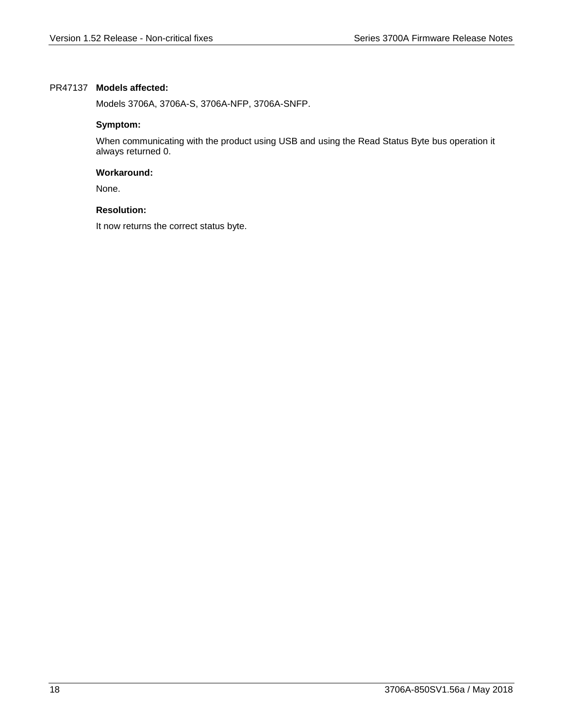## PR47137 Models affected:

Models 3706A, 3706A-S, 3706A-NFP, 3706A-SNFP.

## **Symptom:**

When communicating with the product using USB and using the Read Status Byte bus operation it always returned 0.

## **Workaround:**

None.

## **Resolution:**

It now returns the correct status byte.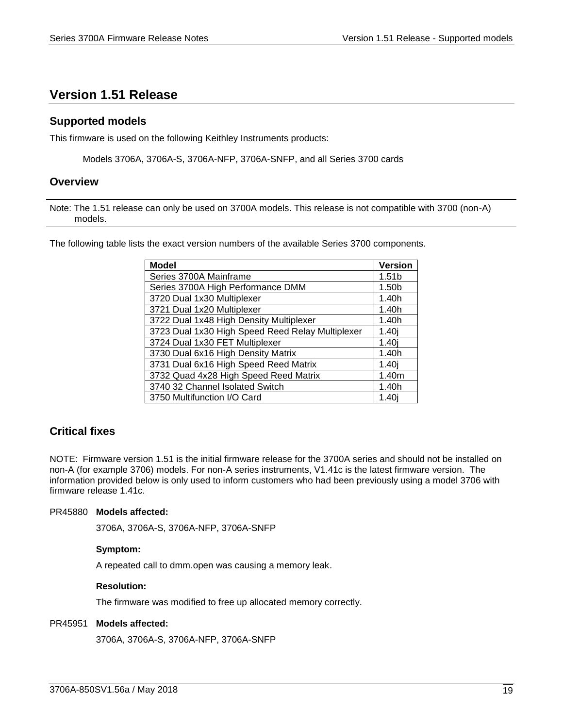# <span id="page-18-0"></span>**Version 1.51 Release**

## <span id="page-18-1"></span>**Supported models**

This firmware is used on the following Keithley Instruments products:

Models 3706A, 3706A-S, 3706A-NFP, 3706A-SNFP, and all Series 3700 cards

## <span id="page-18-2"></span>**Overview**

Note: The 1.51 release can only be used on 3700A models. This release is not compatible with 3700 (non-A) models.

The following table lists the exact version numbers of the available Series 3700 components.

| <b>Model</b>                                     | <b>Version</b>    |
|--------------------------------------------------|-------------------|
| Series 3700A Mainframe                           | 1.51 <sub>b</sub> |
| Series 3700A High Performance DMM                | 1.50 <sub>b</sub> |
| 3720 Dual 1x30 Multiplexer                       | 1.40h             |
| 3721 Dual 1x20 Multiplexer                       | 1.40h             |
| 3722 Dual 1x48 High Density Multiplexer          | 1.40h             |
| 3723 Dual 1x30 High Speed Reed Relay Multiplexer | 1.40i             |
| 3724 Dual 1x30 FET Multiplexer                   | 1.40i             |
| 3730 Dual 6x16 High Density Matrix               | 1.40h             |
| 3731 Dual 6x16 High Speed Reed Matrix            | 1.40j             |
| 3732 Quad 4x28 High Speed Reed Matrix            | 1.40m             |
| 3740 32 Channel Isolated Switch                  | 1.40h             |
| 3750 Multifunction I/O Card                      | 1.40j             |

# <span id="page-18-3"></span>**Critical fixes**

NOTE: Firmware version 1.51 is the initial firmware release for the 3700A series and should not be installed on non-A (for example 3706) models. For non-A series instruments, V1.41c is the latest firmware version. The information provided below is only used to inform customers who had been previously using a model 3706 with firmware release 1.41c.

## PR45880 Models affected:

3706A, 3706A-S, 3706A-NFP, 3706A-SNFP

## **Symptom:**

A repeated call to dmm.open was causing a memory leak.

## **Resolution:**

The firmware was modified to free up allocated memory correctly.

## PR45951 Models affected:

3706A, 3706A-S, 3706A-NFP, 3706A-SNFP